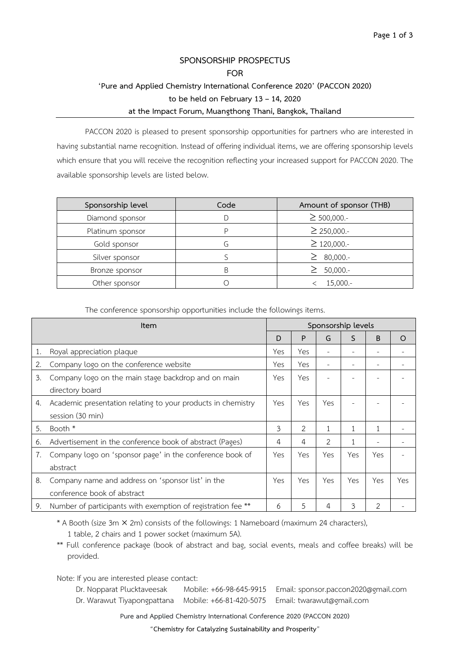# **SPONSORSHIP PROSPECTUS FOR 'Pure and Applied Chemistry International Conference 2020' (PACCON 2020) to be held on February 13 – 14, 2020 at the Impact Forum, Muangthong Thani, Bangkok, Thailand**

PACCON 2020 is pleased to present sponsorship opportunities for partners who are interested in having substantial name recognition. Instead of offering individual items, we are offering sponsorship levels which ensure that you will receive the recognition reflecting your increased support for PACCON 2020. The available sponsorship levels are listed below.

| Sponsorship level | Code | Amount of sponsor (THB) |
|-------------------|------|-------------------------|
| Diamond sponsor   |      | $\geq$ 500,000.-        |
| Platinum sponsor  |      | $\geq$ 250,000.-        |
| Gold sponsor      | ۱-)  | $\geq$ 120,000.-        |
| Silver sponsor    |      | 80,000.-                |
| Bronze sponsor    |      | $50,000.-$              |
| Other sponsor     |      | $15,000.-$              |

The conference sponsorship opportunities include the followings items.

| Item |                                                              | Sponsorship levels |     |     |     |     |          |
|------|--------------------------------------------------------------|--------------------|-----|-----|-----|-----|----------|
|      |                                                              | D                  | P   | G   | S   | B   | $\Omega$ |
| 1.   | Royal appreciation plaque                                    | Yes                | Yes |     |     | -   |          |
| 2.   | Company logo on the conference website                       | Yes                | Yes |     |     | ۰   |          |
| 3.   | Company logo on the main stage backdrop and on main          | Yes                | Yes |     |     |     |          |
|      | directory board                                              |                    |     |     |     |     |          |
| 4.   | Academic presentation relating to your products in chemistry | Yes                | Yes | Yes |     |     |          |
|      | session (30 min)                                             |                    |     |     |     |     |          |
| 5.   | Booth *                                                      | 3                  | 2   | 1   |     | 1   |          |
| 6.   | Advertisement in the conference book of abstract (Pages)     | 4                  | 4   | 2   |     | ۰   |          |
| 7.   | Company logo on 'sponsor page' in the conference book of     | Yes                | Yes | Yes | Yes | Yes |          |
|      | abstract                                                     |                    |     |     |     |     |          |
| 8.   | Company name and address on 'sponsor list' in the            | Yes                | Yes | Yes | Yes | Yes | Yes      |
|      | conference book of abstract                                  |                    |     |     |     |     |          |
| 9.   | Number of participants with exemption of registration fee ** | 6                  | 5   | 4   | 3   | 2   |          |

\* A Booth (size 3m × 2m) consists of the followings: 1 Nameboard (maximum 24 characters),

\*\* Full conference package (book of abstract and bag, social events, meals and coffee breaks) will be provided.

Note: If you are interested please contact:

 Dr. Nopparat Plucktaveesak Mobile: +66-98-645-9915 Email: sponsor.paccon2020@gmail.com Dr. Warawut Tiyapongpattana Mobile: +66-81-420-5075 Email: twarawut@gmail.com

**Pure and Applied Chemistry International Conference 2020 (PACCON 2020)**

"**Chemistry for Catalyzing Sustainability and Prosperity**"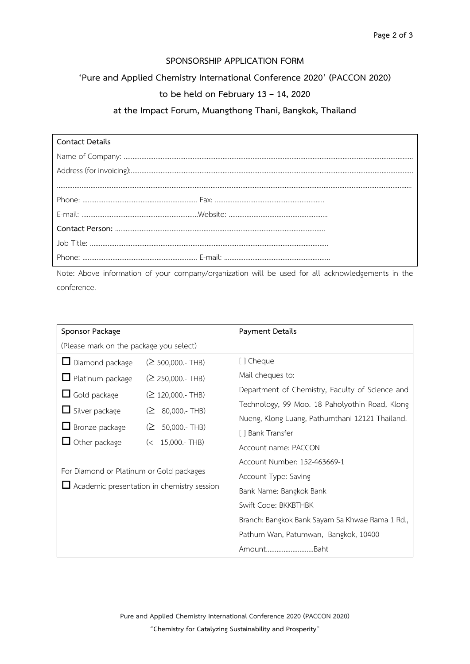#### **SPONSORSHIP APPLICATION FORM**

## **'Pure and Applied Chemistry International Conference 2020' (PACCON 2020)**

## **to be held on February 13 – 14, 2020**

## **at the Impact Forum, Muangthong Thani, Bangkok, Thailand**

| Contact Details |  |
|-----------------|--|
|                 |  |
|                 |  |
|                 |  |
|                 |  |
|                 |  |
|                 |  |
|                 |  |
|                 |  |

Note: Above information of your company/organization will be used for all acknowledgements in the conference.

| Sponsor Package                                                                               |                    | Payment Details                                 |  |  |
|-----------------------------------------------------------------------------------------------|--------------------|-------------------------------------------------|--|--|
| (Please mark on the package you select)                                                       |                    |                                                 |  |  |
| $\Box$ Diamond package                                                                        | $(≥ 500,000.-THB)$ | [] Cheque                                       |  |  |
| $\Box$ Platinum package                                                                       | $(≥ 250,000.-THB)$ | Mail cheques to:                                |  |  |
| $\Box$ Gold package                                                                           | $(≥ 120,000.-THB)$ | Department of Chemistry, Faculty of Science and |  |  |
| $\Box$ Silver package                                                                         | $(2 80,000 - THB)$ | Technology, 99 Moo. 18 Paholyothin Road, Klong  |  |  |
|                                                                                               | $(2 50,000 - THB)$ | Nueng, Klong Luang, Pathumthani 12121 Thailand. |  |  |
| $\Box$ Bronze package                                                                         |                    | [] Bank Transfer                                |  |  |
| $\Box$ Other package<br>$(< 15,000.$ - THB)                                                   |                    | Account name: PACCON                            |  |  |
| For Diamond or Platinum or Gold packages<br>$\Box$ Academic presentation in chemistry session |                    | Account Number: 152-463669-1                    |  |  |
|                                                                                               |                    | Account Type: Saving                            |  |  |
|                                                                                               |                    | Bank Name: Bangkok Bank                         |  |  |
|                                                                                               |                    | Swift Code: BKKBTHBK                            |  |  |
|                                                                                               |                    | Branch: Bangkok Bank Sayam Sa Khwae Rama 1 Rd., |  |  |
|                                                                                               |                    | Pathum Wan, Patumwan, Bangkok, 10400            |  |  |
|                                                                                               |                    | AmountBaht                                      |  |  |

**Pure and Applied Chemistry International Conference 2020 (PACCON 2020)** "**Chemistry for Catalyzing Sustainability and Prosperity**"